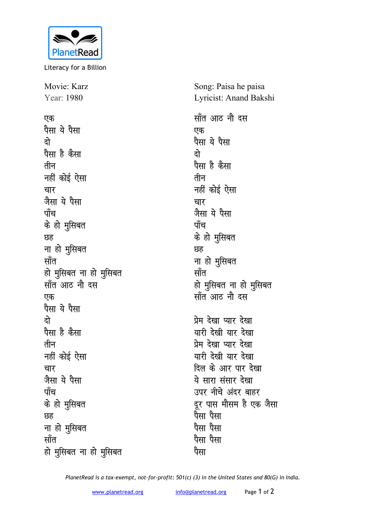

Literacy for a Billion

Movie: Karz Year: 1980

एक पैसा ये पैसा **nks** पैसा है कैसा तीन **नहीं** कोई ऐसा **pkj जैसा** ये पैसा <u>पाँच</u> **के** हो मुसिबत **Ng** ना हो मुसिबत <u>साँत</u> हो मुसिबत ना हो मुसिबत **सॉत आठ नौ दस एक** पैसा ये पैसा **nks** पैसा है कैसा तीन **नहीं** कोई ऐसा **pkj जैसा** ये पैसा <u>पाँच</u> के हो मुसिबत **Ng** <u>ना हो मूसिबत</u> <u>सॉत</u> हो मुसिबत ना हो मुसिबत

Song: Paisa he paisa Lyricist: Anand Bakshi

<u>सॉंत आठ नौ दस</u> एक पैसा ये पैसा **nks** पैसा है कैसा तीन **नहीं** कोई ऐसा **pkj जैसा** ये पैसा पॉंच  $\dot{\sigma}$  हो मुसिबत **Ng** ना हो मुसिबत <u>सॉत</u> हो मुसिबत ना हो मुसिबत <u>साँत आठ नौ दस</u> प्रेम देखा प्यार **देखा** यारी देखी यार देखा प्रेम देखा प्यार **देखा** यारी देखी यार देखा दिल के आर पार देखा ये सारा संसार देखा उपर नीचे अंदर बाहर दूर पास मौसम है एक जैसा पैसा पैसा <u>पैसा पैसा</u> पैसा पैसा पैसा

*PlanetRead is a tax-exempt, not-for-profit: 501(c) (3) in the United States and 80(G) in India.*